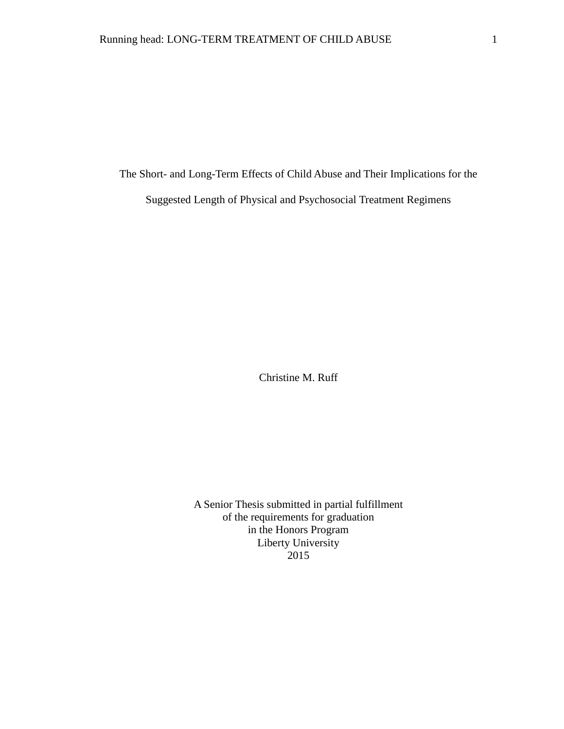The Short- and Long-Term Effects of Child Abuse and Their Implications for the

Suggested Length of Physical and Psychosocial Treatment Regimens

Christine M. Ruff

A Senior Thesis submitted in partial fulfillment of the requirements for graduation in the Honors Program Liberty University 2015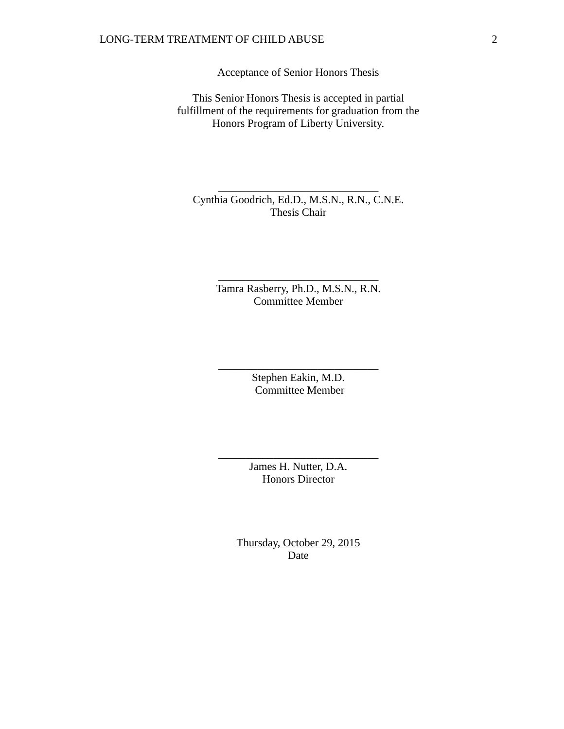# LONG-TERM TREATMENT OF CHILD ABUSE 2

Acceptance of Senior Honors Thesis

This Senior Honors Thesis is accepted in partial fulfillment of the requirements for graduation from the Honors Program of Liberty University.

Cynthia Goodrich, Ed.D., M.S.N., R.N., C.N.E. Thesis Chair

\_\_\_\_\_\_\_\_\_\_\_\_\_\_\_\_\_\_\_\_\_\_\_\_\_\_\_\_\_

Tamra Rasberry, Ph.D., M.S.N., R.N. Committee Member

\_\_\_\_\_\_\_\_\_\_\_\_\_\_\_\_\_\_\_\_\_\_\_\_\_\_\_\_\_

Stephen Eakin, M.D. Committee Member

\_\_\_\_\_\_\_\_\_\_\_\_\_\_\_\_\_\_\_\_\_\_\_\_\_\_\_\_\_

James H. Nutter, D.A. Honors Director

\_\_\_\_\_\_\_\_\_\_\_\_\_\_\_\_\_\_\_\_\_\_\_\_\_\_\_\_\_

Thursday, October 29, 2015 Date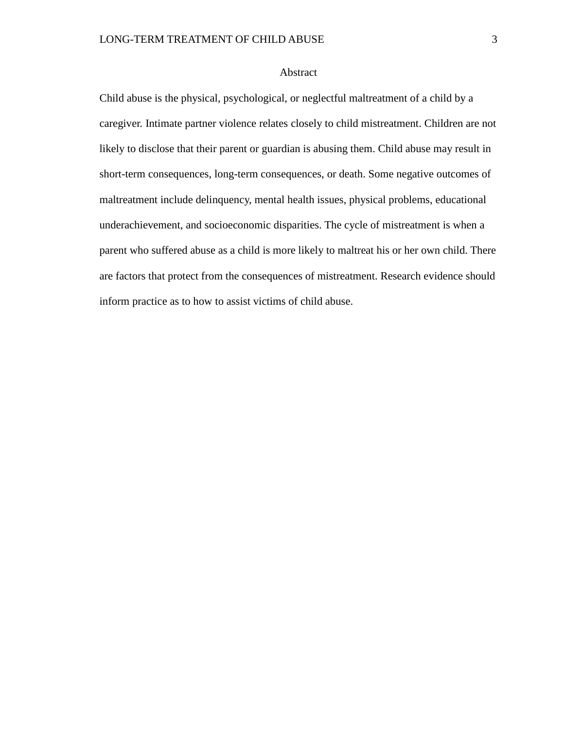# Abstract

Child abuse is the physical, psychological, or neglectful maltreatment of a child by a caregiver. Intimate partner violence relates closely to child mistreatment. Children are not likely to disclose that their parent or guardian is abusing them. Child abuse may result in short-term consequences, long-term consequences, or death. Some negative outcomes of maltreatment include delinquency, mental health issues, physical problems, educational underachievement, and socioeconomic disparities. The cycle of mistreatment is when a parent who suffered abuse as a child is more likely to maltreat his or her own child. There are factors that protect from the consequences of mistreatment. Research evidence should inform practice as to how to assist victims of child abuse.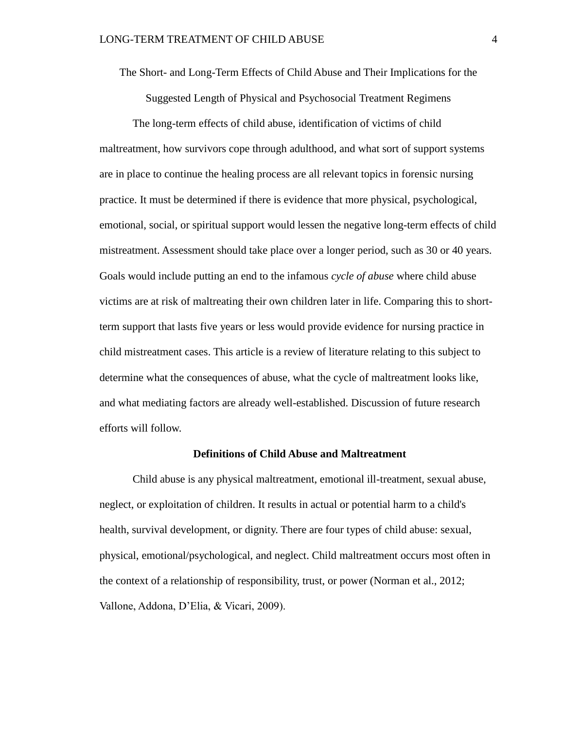The Short- and Long-Term Effects of Child Abuse and Their Implications for the

Suggested Length of Physical and Psychosocial Treatment Regimens

The long-term effects of child abuse, identification of victims of child maltreatment, how survivors cope through adulthood, and what sort of support systems are in place to continue the healing process are all relevant topics in forensic nursing practice. It must be determined if there is evidence that more physical, psychological, emotional, social, or spiritual support would lessen the negative long-term effects of child mistreatment. Assessment should take place over a longer period, such as 30 or 40 years. Goals would include putting an end to the infamous *cycle of abuse* where child abuse victims are at risk of maltreating their own children later in life. Comparing this to shortterm support that lasts five years or less would provide evidence for nursing practice in child mistreatment cases. This article is a review of literature relating to this subject to determine what the consequences of abuse, what the cycle of maltreatment looks like, and what mediating factors are already well-established. Discussion of future research efforts will follow.

### **Definitions of Child Abuse and Maltreatment**

Child abuse is any physical maltreatment, emotional ill-treatment, sexual abuse, neglect, or exploitation of children. It results in actual or potential harm to a child's health, survival development, or dignity. There are four types of child abuse: sexual, physical, emotional/psychological, and neglect. Child maltreatment occurs most often in the context of a relationship of responsibility, trust, or power (Norman et al., 2012; Vallone, Addona, D'Elia, & Vicari, 2009).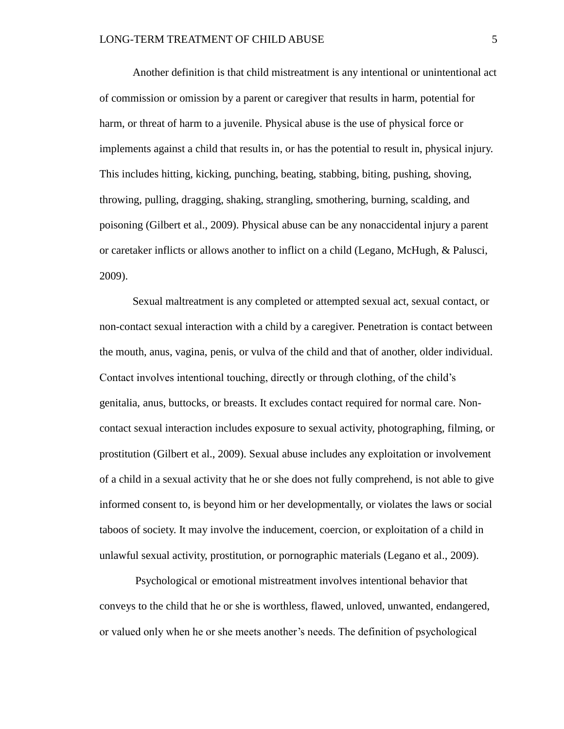Another definition is that child mistreatment is any intentional or unintentional act of commission or omission by a parent or caregiver that results in harm, potential for harm, or threat of harm to a juvenile. Physical abuse is the use of physical force or implements against a child that results in, or has the potential to result in, physical injury. This includes hitting, kicking, punching, beating, stabbing, biting, pushing, shoving, throwing, pulling, dragging, shaking, strangling, smothering, burning, scalding, and poisoning (Gilbert et al., 2009). Physical abuse can be any nonaccidental injury a parent or caretaker inflicts or allows another to inflict on a child (Legano, McHugh, & Palusci, 2009).

Sexual maltreatment is any completed or attempted sexual act, sexual contact, or non-contact sexual interaction with a child by a caregiver. Penetration is contact between the mouth, anus, vagina, penis, or vulva of the child and that of another, older individual. Contact involves intentional touching, directly or through clothing, of the child's genitalia, anus, buttocks, or breasts. It excludes contact required for normal care. Noncontact sexual interaction includes exposure to sexual activity, photographing, filming, or prostitution (Gilbert et al., 2009). Sexual abuse includes any exploitation or involvement of a child in a sexual activity that he or she does not fully comprehend, is not able to give informed consent to, is beyond him or her developmentally, or violates the laws or social taboos of society. It may involve the inducement, coercion, or exploitation of a child in unlawful sexual activity, prostitution, or pornographic materials (Legano et al., 2009).

Psychological or emotional mistreatment involves intentional behavior that conveys to the child that he or she is worthless, flawed, unloved, unwanted, endangered, or valued only when he or she meets another's needs. The definition of psychological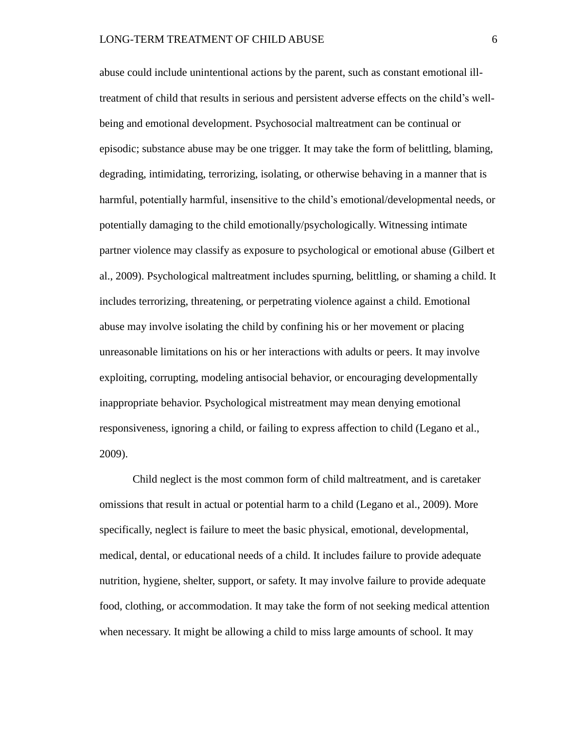abuse could include unintentional actions by the parent, such as constant emotional illtreatment of child that results in serious and persistent adverse effects on the child's wellbeing and emotional development. Psychosocial maltreatment can be continual or episodic; substance abuse may be one trigger. It may take the form of belittling, blaming, degrading, intimidating, terrorizing, isolating, or otherwise behaving in a manner that is harmful, potentially harmful, insensitive to the child's emotional/developmental needs, or potentially damaging to the child emotionally/psychologically. Witnessing intimate partner violence may classify as exposure to psychological or emotional abuse (Gilbert et al., 2009). Psychological maltreatment includes spurning, belittling, or shaming a child. It includes terrorizing, threatening, or perpetrating violence against a child. Emotional abuse may involve isolating the child by confining his or her movement or placing unreasonable limitations on his or her interactions with adults or peers. It may involve exploiting, corrupting, modeling antisocial behavior, or encouraging developmentally inappropriate behavior. Psychological mistreatment may mean denying emotional responsiveness, ignoring a child, or failing to express affection to child (Legano et al., 2009).

Child neglect is the most common form of child maltreatment, and is caretaker omissions that result in actual or potential harm to a child (Legano et al., 2009). More specifically, neglect is failure to meet the basic physical, emotional, developmental, medical, dental, or educational needs of a child. It includes failure to provide adequate nutrition, hygiene, shelter, support, or safety. It may involve failure to provide adequate food, clothing, or accommodation. It may take the form of not seeking medical attention when necessary. It might be allowing a child to miss large amounts of school. It may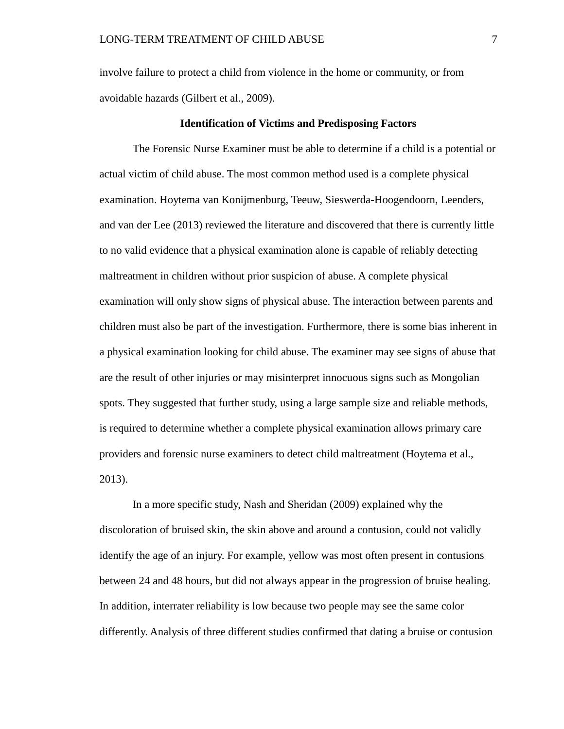involve failure to protect a child from violence in the home or community, or from avoidable hazards (Gilbert et al., 2009).

### **Identification of Victims and Predisposing Factors**

The Forensic Nurse Examiner must be able to determine if a child is a potential or actual victim of child abuse. The most common method used is a complete physical examination. Hoytema van Konijmenburg, Teeuw, Sieswerda-Hoogendoorn, Leenders, and van der Lee (2013) reviewed the literature and discovered that there is currently little to no valid evidence that a physical examination alone is capable of reliably detecting maltreatment in children without prior suspicion of abuse. A complete physical examination will only show signs of physical abuse. The interaction between parents and children must also be part of the investigation. Furthermore, there is some bias inherent in a physical examination looking for child abuse. The examiner may see signs of abuse that are the result of other injuries or may misinterpret innocuous signs such as Mongolian spots. They suggested that further study, using a large sample size and reliable methods, is required to determine whether a complete physical examination allows primary care providers and forensic nurse examiners to detect child maltreatment (Hoytema et al., 2013).

In a more specific study, Nash and Sheridan (2009) explained why the discoloration of bruised skin, the skin above and around a contusion, could not validly identify the age of an injury. For example, yellow was most often present in contusions between 24 and 48 hours, but did not always appear in the progression of bruise healing. In addition, interrater reliability is low because two people may see the same color differently. Analysis of three different studies confirmed that dating a bruise or contusion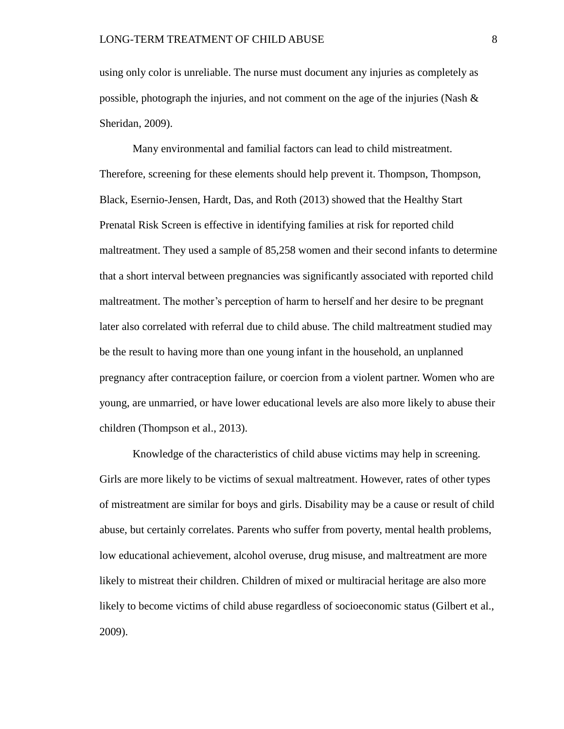using only color is unreliable. The nurse must document any injuries as completely as possible, photograph the injuries, and not comment on the age of the injuries (Nash  $\&$ Sheridan, 2009).

Many environmental and familial factors can lead to child mistreatment. Therefore, screening for these elements should help prevent it. Thompson, Thompson, Black, Esernio-Jensen, Hardt, Das, and Roth (2013) showed that the Healthy Start Prenatal Risk Screen is effective in identifying families at risk for reported child maltreatment. They used a sample of 85,258 women and their second infants to determine that a short interval between pregnancies was significantly associated with reported child maltreatment. The mother's perception of harm to herself and her desire to be pregnant later also correlated with referral due to child abuse. The child maltreatment studied may be the result to having more than one young infant in the household, an unplanned pregnancy after contraception failure, or coercion from a violent partner. Women who are young, are unmarried, or have lower educational levels are also more likely to abuse their children (Thompson et al., 2013).

Knowledge of the characteristics of child abuse victims may help in screening. Girls are more likely to be victims of sexual maltreatment. However, rates of other types of mistreatment are similar for boys and girls. Disability may be a cause or result of child abuse, but certainly correlates. Parents who suffer from poverty, mental health problems, low educational achievement, alcohol overuse, drug misuse, and maltreatment are more likely to mistreat their children. Children of mixed or multiracial heritage are also more likely to become victims of child abuse regardless of socioeconomic status (Gilbert et al., 2009).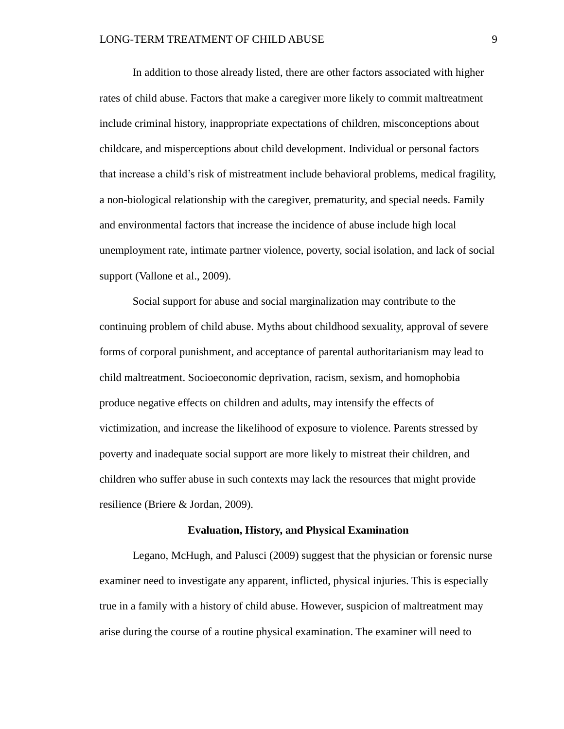In addition to those already listed, there are other factors associated with higher rates of child abuse. Factors that make a caregiver more likely to commit maltreatment include criminal history, inappropriate expectations of children, misconceptions about childcare, and misperceptions about child development. Individual or personal factors that increase a child's risk of mistreatment include behavioral problems, medical fragility, a non-biological relationship with the caregiver, prematurity, and special needs. Family and environmental factors that increase the incidence of abuse include high local unemployment rate, intimate partner violence, poverty, social isolation, and lack of social support (Vallone et al., 2009).

Social support for abuse and social marginalization may contribute to the continuing problem of child abuse. Myths about childhood sexuality, approval of severe forms of corporal punishment, and acceptance of parental authoritarianism may lead to child maltreatment. Socioeconomic deprivation, racism, sexism, and homophobia produce negative effects on children and adults, may intensify the effects of victimization, and increase the likelihood of exposure to violence. Parents stressed by poverty and inadequate social support are more likely to mistreat their children, and children who suffer abuse in such contexts may lack the resources that might provide resilience (Briere & Jordan, 2009).

#### **Evaluation, History, and Physical Examination**

Legano, McHugh, and Palusci (2009) suggest that the physician or forensic nurse examiner need to investigate any apparent, inflicted, physical injuries. This is especially true in a family with a history of child abuse. However, suspicion of maltreatment may arise during the course of a routine physical examination. The examiner will need to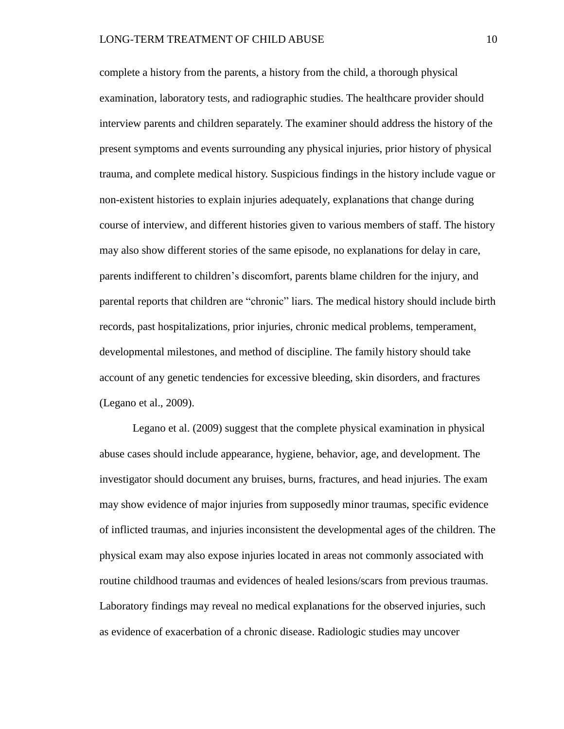complete a history from the parents, a history from the child, a thorough physical examination, laboratory tests, and radiographic studies. The healthcare provider should interview parents and children separately. The examiner should address the history of the present symptoms and events surrounding any physical injuries, prior history of physical trauma, and complete medical history. Suspicious findings in the history include vague or non-existent histories to explain injuries adequately, explanations that change during course of interview, and different histories given to various members of staff. The history may also show different stories of the same episode, no explanations for delay in care, parents indifferent to children's discomfort, parents blame children for the injury, and parental reports that children are "chronic" liars. The medical history should include birth records, past hospitalizations, prior injuries, chronic medical problems, temperament, developmental milestones, and method of discipline. The family history should take account of any genetic tendencies for excessive bleeding, skin disorders, and fractures (Legano et al., 2009).

Legano et al. (2009) suggest that the complete physical examination in physical abuse cases should include appearance, hygiene, behavior, age, and development. The investigator should document any bruises, burns, fractures, and head injuries. The exam may show evidence of major injuries from supposedly minor traumas, specific evidence of inflicted traumas, and injuries inconsistent the developmental ages of the children. The physical exam may also expose injuries located in areas not commonly associated with routine childhood traumas and evidences of healed lesions/scars from previous traumas. Laboratory findings may reveal no medical explanations for the observed injuries, such as evidence of exacerbation of a chronic disease. Radiologic studies may uncover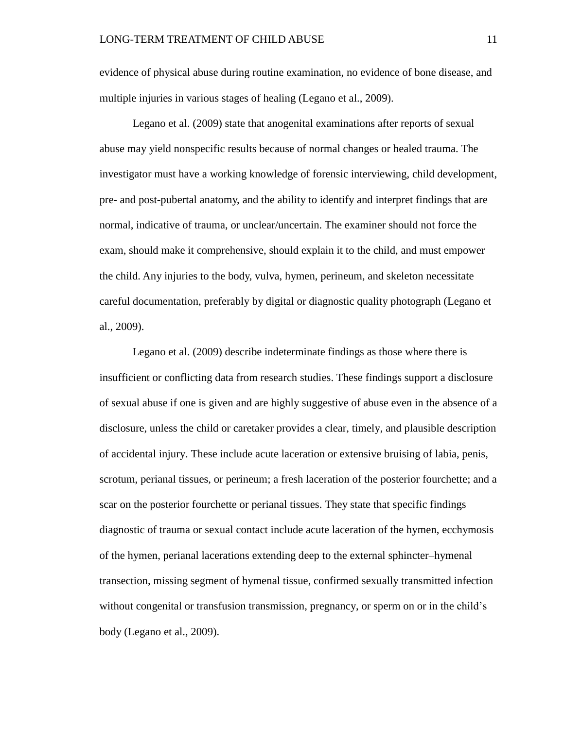evidence of physical abuse during routine examination, no evidence of bone disease, and multiple injuries in various stages of healing (Legano et al., 2009).

Legano et al. (2009) state that anogenital examinations after reports of sexual abuse may yield nonspecific results because of normal changes or healed trauma. The investigator must have a working knowledge of forensic interviewing, child development, pre- and post-pubertal anatomy, and the ability to identify and interpret findings that are normal, indicative of trauma, or unclear/uncertain. The examiner should not force the exam, should make it comprehensive, should explain it to the child, and must empower the child. Any injuries to the body, vulva, hymen, perineum, and skeleton necessitate careful documentation, preferably by digital or diagnostic quality photograph (Legano et al., 2009).

Legano et al. (2009) describe indeterminate findings as those where there is insufficient or conflicting data from research studies. These findings support a disclosure of sexual abuse if one is given and are highly suggestive of abuse even in the absence of a disclosure, unless the child or caretaker provides a clear, timely, and plausible description of accidental injury. These include acute laceration or extensive bruising of labia, penis, scrotum, perianal tissues, or perineum; a fresh laceration of the posterior fourchette; and a scar on the posterior fourchette or perianal tissues. They state that specific findings diagnostic of trauma or sexual contact include acute laceration of the hymen, ecchymosis of the hymen, perianal lacerations extending deep to the external sphincter–hymenal transection, missing segment of hymenal tissue, confirmed sexually transmitted infection without congenital or transfusion transmission, pregnancy, or sperm on or in the child's body (Legano et al., 2009).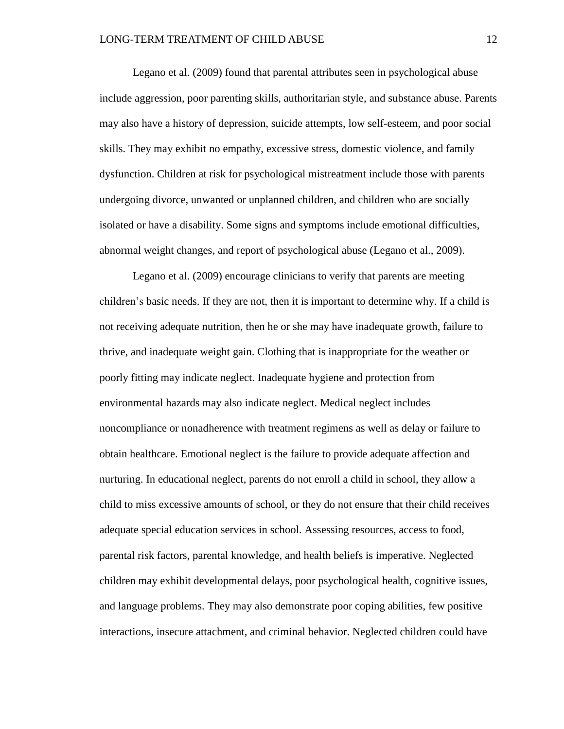Legano et al. (2009) found that parental attributes seen in psychological abuse include aggression, poor parenting skills, authoritarian style, and substance abuse. Parents may also have a history of depression, suicide attempts, low self-esteem, and poor social skills. They may exhibit no empathy, excessive stress, domestic violence, and family dysfunction. Children at risk for psychological mistreatment include those with parents undergoing divorce, unwanted or unplanned children, and children who are socially isolated or have a disability. Some signs and symptoms include emotional difficulties, abnormal weight changes, and report of psychological abuse (Legano et al., 2009).

Legano et al. (2009) encourage clinicians to verify that parents are meeting children's basic needs. If they are not, then it is important to determine why. If a child is not receiving adequate nutrition, then he or she may have inadequate growth, failure to thrive, and inadequate weight gain. Clothing that is inappropriate for the weather or poorly fitting may indicate neglect. Inadequate hygiene and protection from environmental hazards may also indicate neglect. Medical neglect includes noncompliance or nonadherence with treatment regimens as well as delay or failure to obtain healthcare. Emotional neglect is the failure to provide adequate affection and nurturing. In educational neglect, parents do not enroll a child in school, they allow a child to miss excessive amounts of school, or they do not ensure that their child receives adequate special education services in school. Assessing resources, access to food, parental risk factors, parental knowledge, and health beliefs is imperative. Neglected children may exhibit developmental delays, poor psychological health, cognitive issues, and language problems. They may also demonstrate poor coping abilities, few positive interactions, insecure attachment, and criminal behavior. Neglected children could have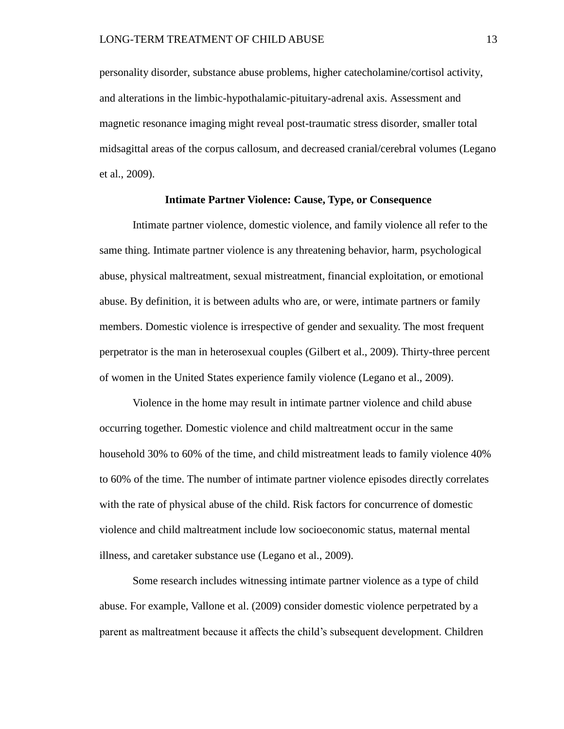personality disorder, substance abuse problems, higher catecholamine/cortisol activity, and alterations in the limbic-hypothalamic-pituitary-adrenal axis. Assessment and magnetic resonance imaging might reveal post-traumatic stress disorder, smaller total midsagittal areas of the corpus callosum, and decreased cranial/cerebral volumes (Legano et al., 2009).

## **Intimate Partner Violence: Cause, Type, or Consequence**

Intimate partner violence, domestic violence, and family violence all refer to the same thing. Intimate partner violence is any threatening behavior, harm, psychological abuse, physical maltreatment, sexual mistreatment, financial exploitation, or emotional abuse. By definition, it is between adults who are, or were, intimate partners or family members. Domestic violence is irrespective of gender and sexuality. The most frequent perpetrator is the man in heterosexual couples (Gilbert et al., 2009). Thirty-three percent of women in the United States experience family violence (Legano et al., 2009).

Violence in the home may result in intimate partner violence and child abuse occurring together. Domestic violence and child maltreatment occur in the same household 30% to 60% of the time, and child mistreatment leads to family violence 40% to 60% of the time. The number of intimate partner violence episodes directly correlates with the rate of physical abuse of the child. Risk factors for concurrence of domestic violence and child maltreatment include low socioeconomic status, maternal mental illness, and caretaker substance use (Legano et al., 2009).

Some research includes witnessing intimate partner violence as a type of child abuse. For example, Vallone et al. (2009) consider domestic violence perpetrated by a parent as maltreatment because it affects the child's subsequent development. Children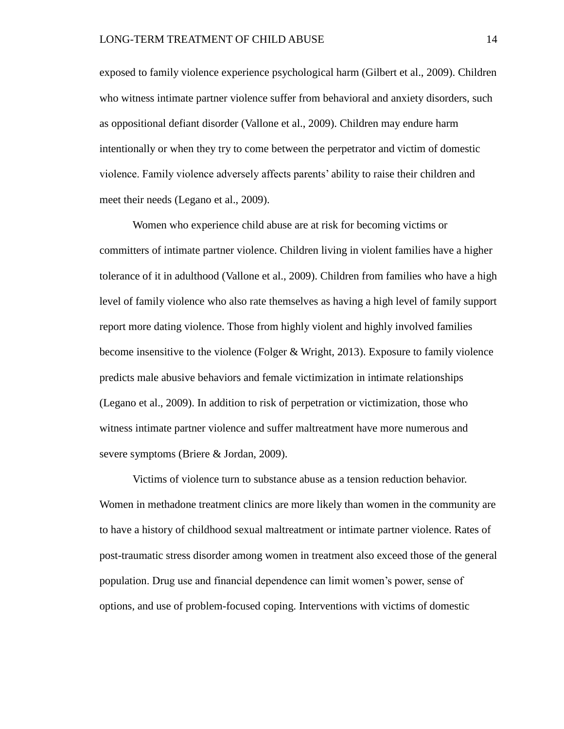exposed to family violence experience psychological harm (Gilbert et al., 2009). Children who witness intimate partner violence suffer from behavioral and anxiety disorders, such as oppositional defiant disorder (Vallone et al., 2009). Children may endure harm intentionally or when they try to come between the perpetrator and victim of domestic violence. Family violence adversely affects parents' ability to raise their children and meet their needs (Legano et al., 2009).

Women who experience child abuse are at risk for becoming victims or committers of intimate partner violence. Children living in violent families have a higher tolerance of it in adulthood (Vallone et al., 2009). Children from families who have a high level of family violence who also rate themselves as having a high level of family support report more dating violence. Those from highly violent and highly involved families become insensitive to the violence (Folger & Wright, 2013). Exposure to family violence predicts male abusive behaviors and female victimization in intimate relationships (Legano et al., 2009). In addition to risk of perpetration or victimization, those who witness intimate partner violence and suffer maltreatment have more numerous and severe symptoms (Briere & Jordan, 2009).

Victims of violence turn to substance abuse as a tension reduction behavior. Women in methadone treatment clinics are more likely than women in the community are to have a history of childhood sexual maltreatment or intimate partner violence. Rates of post-traumatic stress disorder among women in treatment also exceed those of the general population. Drug use and financial dependence can limit women's power, sense of options, and use of problem-focused coping. Interventions with victims of domestic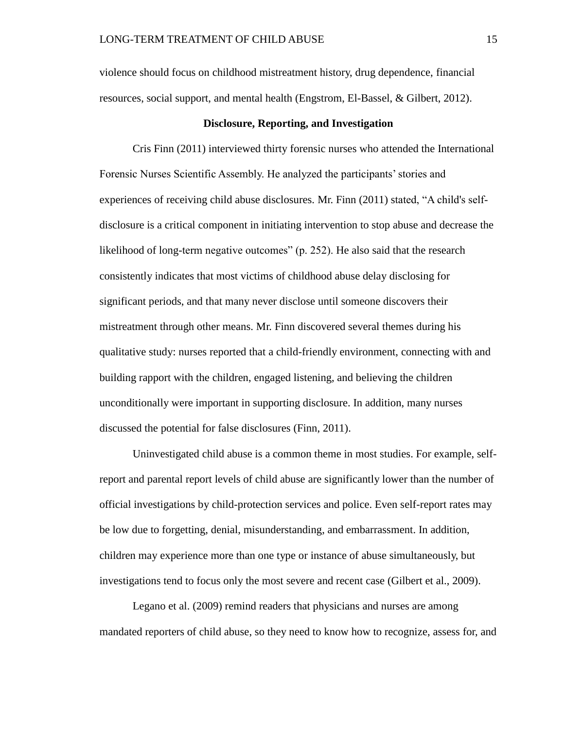violence should focus on childhood mistreatment history, drug dependence, financial resources, social support, and mental health (Engstrom, El-Bassel, & Gilbert, 2012).

## **Disclosure, Reporting, and Investigation**

Cris Finn (2011) interviewed thirty forensic nurses who attended the International Forensic Nurses Scientific Assembly. He analyzed the participants' stories and experiences of receiving child abuse disclosures. Mr. Finn (2011) stated, "A child's selfdisclosure is a critical component in initiating intervention to stop abuse and decrease the likelihood of long-term negative outcomes" (p. 252). He also said that the research consistently indicates that most victims of childhood abuse delay disclosing for significant periods, and that many never disclose until someone discovers their mistreatment through other means. Mr. Finn discovered several themes during his qualitative study: nurses reported that a child-friendly environment, connecting with and building rapport with the children, engaged listening, and believing the children unconditionally were important in supporting disclosure. In addition, many nurses discussed the potential for false disclosures (Finn, 2011).

Uninvestigated child abuse is a common theme in most studies. For example, selfreport and parental report levels of child abuse are significantly lower than the number of official investigations by child-protection services and police. Even self-report rates may be low due to forgetting, denial, misunderstanding, and embarrassment. In addition, children may experience more than one type or instance of abuse simultaneously, but investigations tend to focus only the most severe and recent case (Gilbert et al., 2009).

Legano et al. (2009) remind readers that physicians and nurses are among mandated reporters of child abuse, so they need to know how to recognize, assess for, and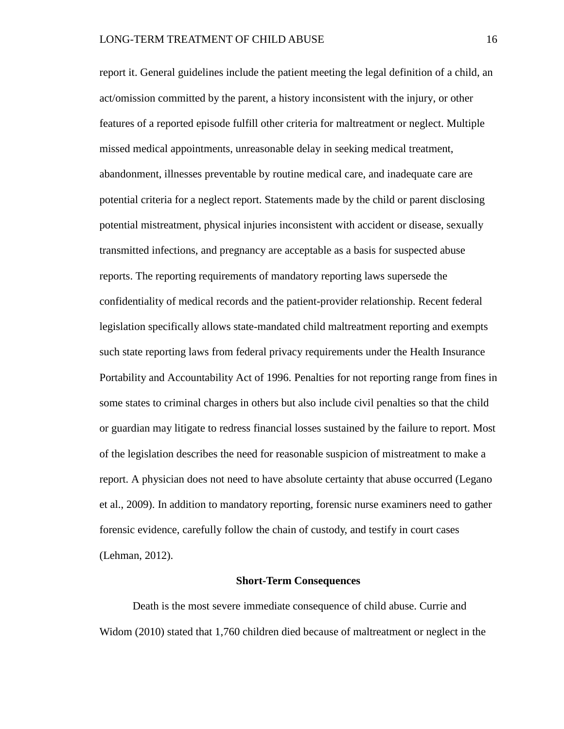report it. General guidelines include the patient meeting the legal definition of a child, an act/omission committed by the parent, a history inconsistent with the injury, or other features of a reported episode fulfill other criteria for maltreatment or neglect. Multiple missed medical appointments, unreasonable delay in seeking medical treatment, abandonment, illnesses preventable by routine medical care, and inadequate care are potential criteria for a neglect report. Statements made by the child or parent disclosing potential mistreatment, physical injuries inconsistent with accident or disease, sexually transmitted infections, and pregnancy are acceptable as a basis for suspected abuse reports. The reporting requirements of mandatory reporting laws supersede the confidentiality of medical records and the patient-provider relationship. Recent federal legislation specifically allows state-mandated child maltreatment reporting and exempts such state reporting laws from federal privacy requirements under the Health Insurance Portability and Accountability Act of 1996. Penalties for not reporting range from fines in some states to criminal charges in others but also include civil penalties so that the child or guardian may litigate to redress financial losses sustained by the failure to report. Most of the legislation describes the need for reasonable suspicion of mistreatment to make a report. A physician does not need to have absolute certainty that abuse occurred (Legano et al., 2009). In addition to mandatory reporting, forensic nurse examiners need to gather forensic evidence, carefully follow the chain of custody, and testify in court cases (Lehman, 2012).

#### **Short-Term Consequences**

Death is the most severe immediate consequence of child abuse. Currie and Widom (2010) stated that 1,760 children died because of maltreatment or neglect in the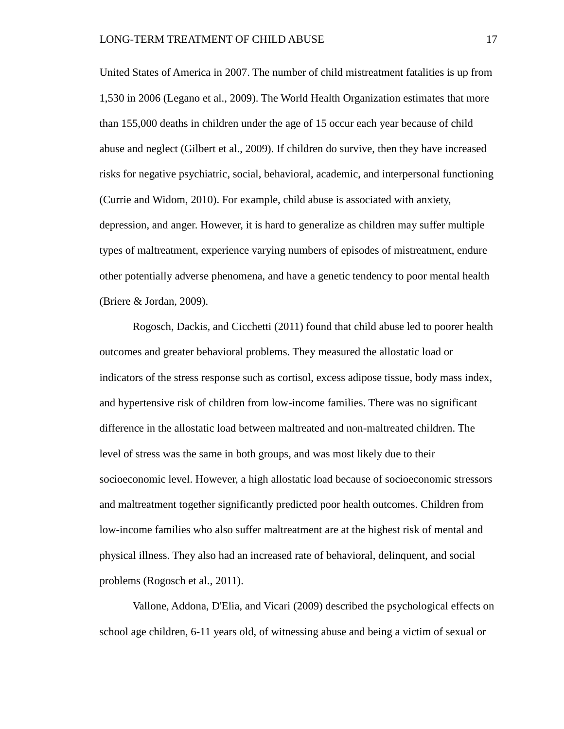United States of America in 2007. The number of child mistreatment fatalities is up from 1,530 in 2006 (Legano et al., 2009). The World Health Organization estimates that more than 155,000 deaths in children under the age of 15 occur each year because of child abuse and neglect (Gilbert et al., 2009). If children do survive, then they have increased risks for negative psychiatric, social, behavioral, academic, and interpersonal functioning (Currie and Widom, 2010). For example, child abuse is associated with anxiety, depression, and anger. However, it is hard to generalize as children may suffer multiple types of maltreatment, experience varying numbers of episodes of mistreatment, endure other potentially adverse phenomena, and have a genetic tendency to poor mental health (Briere & Jordan, 2009).

Rogosch, Dackis, and Cicchetti (2011) found that child abuse led to poorer health outcomes and greater behavioral problems. They measured the allostatic load or indicators of the stress response such as cortisol, excess adipose tissue, body mass index, and hypertensive risk of children from low-income families. There was no significant difference in the allostatic load between maltreated and non-maltreated children. The level of stress was the same in both groups, and was most likely due to their socioeconomic level. However, a high allostatic load because of socioeconomic stressors and maltreatment together significantly predicted poor health outcomes. Children from low-income families who also suffer maltreatment are at the highest risk of mental and physical illness. They also had an increased rate of behavioral, delinquent, and social problems (Rogosch et al., 2011).

Vallone, Addona, D'Elia, and Vicari (2009) described the psychological effects on school age children, 6-11 years old, of witnessing abuse and being a victim of sexual or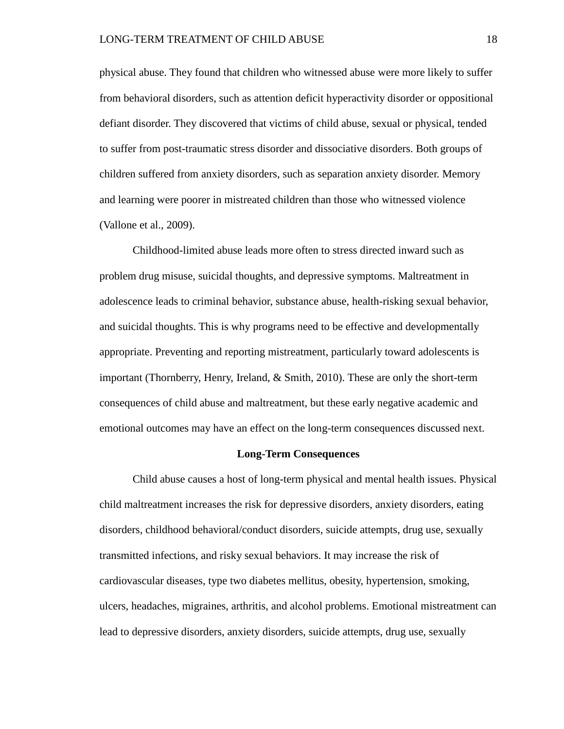physical abuse. They found that children who witnessed abuse were more likely to suffer from behavioral disorders, such as attention deficit hyperactivity disorder or oppositional defiant disorder. They discovered that victims of child abuse, sexual or physical, tended to suffer from post-traumatic stress disorder and dissociative disorders. Both groups of children suffered from anxiety disorders, such as separation anxiety disorder. Memory and learning were poorer in mistreated children than those who witnessed violence (Vallone et al., 2009).

Childhood-limited abuse leads more often to stress directed inward such as problem drug misuse, suicidal thoughts, and depressive symptoms. Maltreatment in adolescence leads to criminal behavior, substance abuse, health-risking sexual behavior, and suicidal thoughts. This is why programs need to be effective and developmentally appropriate. Preventing and reporting mistreatment, particularly toward adolescents is important (Thornberry, Henry, Ireland, & Smith, 2010). These are only the short-term consequences of child abuse and maltreatment, but these early negative academic and emotional outcomes may have an effect on the long-term consequences discussed next.

# **Long-Term Consequences**

Child abuse causes a host of long-term physical and mental health issues. Physical child maltreatment increases the risk for depressive disorders, anxiety disorders, eating disorders, childhood behavioral/conduct disorders, suicide attempts, drug use, sexually transmitted infections, and risky sexual behaviors. It may increase the risk of cardiovascular diseases, type two diabetes mellitus, obesity, hypertension, smoking, ulcers, headaches, migraines, arthritis, and alcohol problems. Emotional mistreatment can lead to depressive disorders, anxiety disorders, suicide attempts, drug use, sexually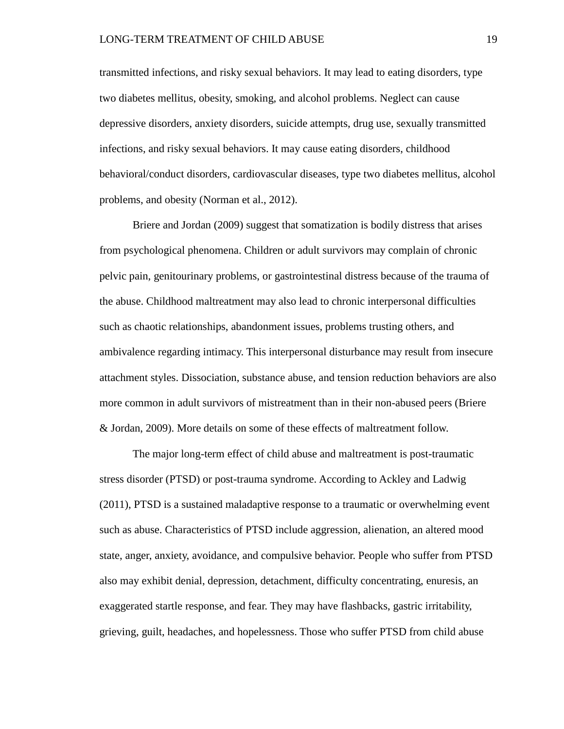transmitted infections, and risky sexual behaviors. It may lead to eating disorders, type two diabetes mellitus, obesity, smoking, and alcohol problems. Neglect can cause depressive disorders, anxiety disorders, suicide attempts, drug use, sexually transmitted infections, and risky sexual behaviors. It may cause eating disorders, childhood behavioral/conduct disorders, cardiovascular diseases, type two diabetes mellitus, alcohol problems, and obesity (Norman et al., 2012).

Briere and Jordan (2009) suggest that somatization is bodily distress that arises from psychological phenomena. Children or adult survivors may complain of chronic pelvic pain, genitourinary problems, or gastrointestinal distress because of the trauma of the abuse. Childhood maltreatment may also lead to chronic interpersonal difficulties such as chaotic relationships, abandonment issues, problems trusting others, and ambivalence regarding intimacy. This interpersonal disturbance may result from insecure attachment styles. Dissociation, substance abuse, and tension reduction behaviors are also more common in adult survivors of mistreatment than in their non-abused peers (Briere & Jordan, 2009). More details on some of these effects of maltreatment follow.

The major long-term effect of child abuse and maltreatment is post-traumatic stress disorder (PTSD) or post-trauma syndrome. According to Ackley and Ladwig (2011), PTSD is a sustained maladaptive response to a traumatic or overwhelming event such as abuse. Characteristics of PTSD include aggression, alienation, an altered mood state, anger, anxiety, avoidance, and compulsive behavior. People who suffer from PTSD also may exhibit denial, depression, detachment, difficulty concentrating, enuresis, an exaggerated startle response, and fear. They may have flashbacks, gastric irritability, grieving, guilt, headaches, and hopelessness. Those who suffer PTSD from child abuse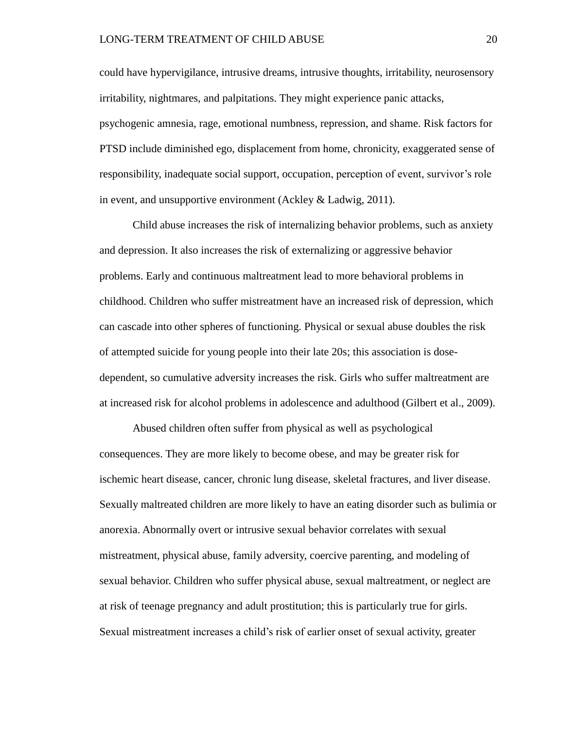could have hypervigilance, intrusive dreams, intrusive thoughts, irritability, neurosensory irritability, nightmares, and palpitations. They might experience panic attacks, psychogenic amnesia, rage, emotional numbness, repression, and shame. Risk factors for PTSD include diminished ego, displacement from home, chronicity, exaggerated sense of responsibility, inadequate social support, occupation, perception of event, survivor's role in event, and unsupportive environment (Ackley & Ladwig, 2011).

Child abuse increases the risk of internalizing behavior problems, such as anxiety and depression. It also increases the risk of externalizing or aggressive behavior problems. Early and continuous maltreatment lead to more behavioral problems in childhood. Children who suffer mistreatment have an increased risk of depression, which can cascade into other spheres of functioning. Physical or sexual abuse doubles the risk of attempted suicide for young people into their late 20s; this association is dosedependent, so cumulative adversity increases the risk. Girls who suffer maltreatment are at increased risk for alcohol problems in adolescence and adulthood (Gilbert et al., 2009).

Abused children often suffer from physical as well as psychological consequences. They are more likely to become obese, and may be greater risk for ischemic heart disease, cancer, chronic lung disease, skeletal fractures, and liver disease. Sexually maltreated children are more likely to have an eating disorder such as bulimia or anorexia. Abnormally overt or intrusive sexual behavior correlates with sexual mistreatment, physical abuse, family adversity, coercive parenting, and modeling of sexual behavior. Children who suffer physical abuse, sexual maltreatment, or neglect are at risk of teenage pregnancy and adult prostitution; this is particularly true for girls. Sexual mistreatment increases a child's risk of earlier onset of sexual activity, greater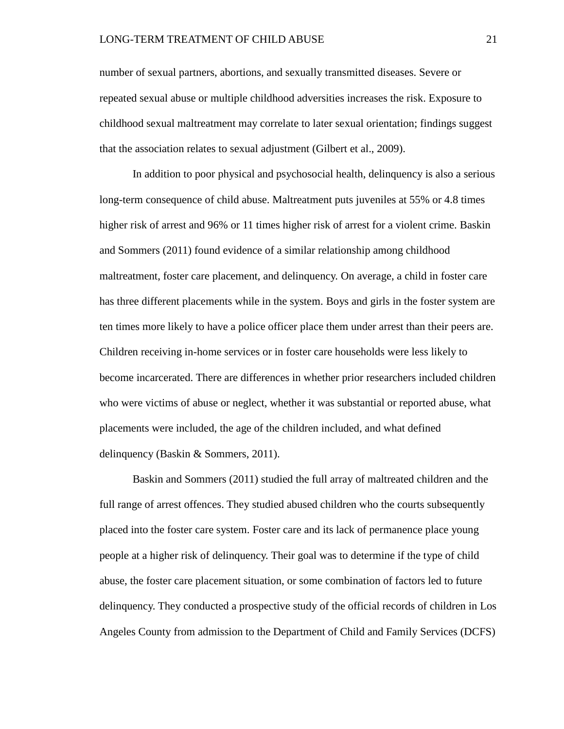number of sexual partners, abortions, and sexually transmitted diseases. Severe or repeated sexual abuse or multiple childhood adversities increases the risk. Exposure to childhood sexual maltreatment may correlate to later sexual orientation; findings suggest that the association relates to sexual adjustment (Gilbert et al., 2009).

In addition to poor physical and psychosocial health, delinquency is also a serious long-term consequence of child abuse. Maltreatment puts juveniles at 55% or 4.8 times higher risk of arrest and 96% or 11 times higher risk of arrest for a violent crime. Baskin and Sommers (2011) found evidence of a similar relationship among childhood maltreatment, foster care placement, and delinquency. On average, a child in foster care has three different placements while in the system. Boys and girls in the foster system are ten times more likely to have a police officer place them under arrest than their peers are. Children receiving in-home services or in foster care households were less likely to become incarcerated. There are differences in whether prior researchers included children who were victims of abuse or neglect, whether it was substantial or reported abuse, what placements were included, the age of the children included, and what defined delinquency (Baskin & Sommers, 2011).

Baskin and Sommers (2011) studied the full array of maltreated children and the full range of arrest offences. They studied abused children who the courts subsequently placed into the foster care system. Foster care and its lack of permanence place young people at a higher risk of delinquency. Their goal was to determine if the type of child abuse, the foster care placement situation, or some combination of factors led to future delinquency. They conducted a prospective study of the official records of children in Los Angeles County from admission to the Department of Child and Family Services (DCFS)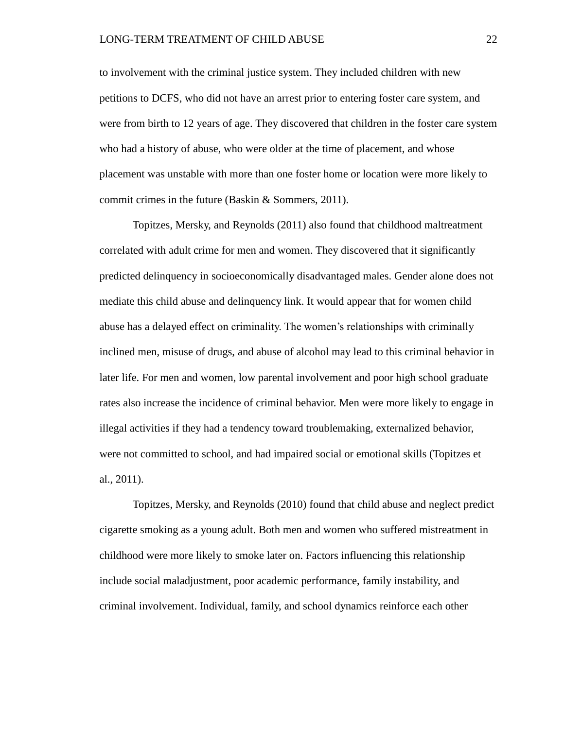to involvement with the criminal justice system. They included children with new petitions to DCFS, who did not have an arrest prior to entering foster care system, and were from birth to 12 years of age. They discovered that children in the foster care system who had a history of abuse, who were older at the time of placement, and whose placement was unstable with more than one foster home or location were more likely to commit crimes in the future (Baskin & Sommers, 2011).

Topitzes, Mersky, and Reynolds (2011) also found that childhood maltreatment correlated with adult crime for men and women. They discovered that it significantly predicted delinquency in socioeconomically disadvantaged males. Gender alone does not mediate this child abuse and delinquency link. It would appear that for women child abuse has a delayed effect on criminality. The women's relationships with criminally inclined men, misuse of drugs, and abuse of alcohol may lead to this criminal behavior in later life. For men and women, low parental involvement and poor high school graduate rates also increase the incidence of criminal behavior. Men were more likely to engage in illegal activities if they had a tendency toward troublemaking, externalized behavior, were not committed to school, and had impaired social or emotional skills (Topitzes et al., 2011).

Topitzes, Mersky, and Reynolds (2010) found that child abuse and neglect predict cigarette smoking as a young adult. Both men and women who suffered mistreatment in childhood were more likely to smoke later on. Factors influencing this relationship include social maladjustment, poor academic performance, family instability, and criminal involvement. Individual, family, and school dynamics reinforce each other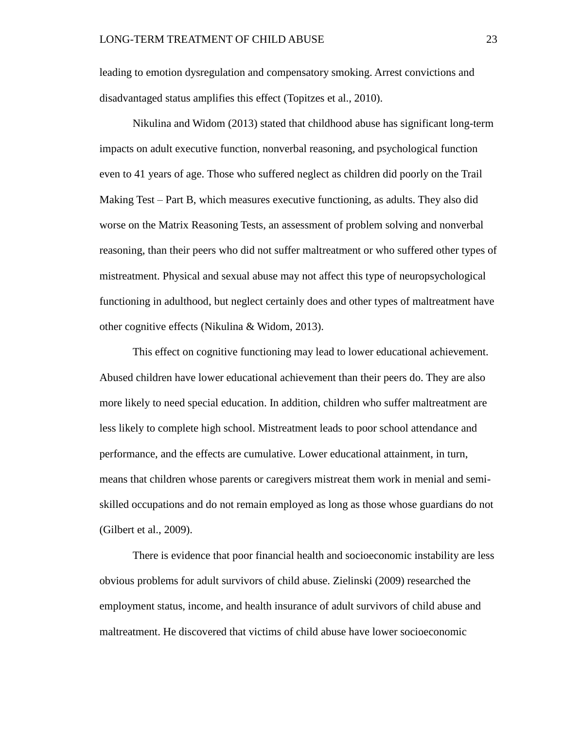leading to emotion dysregulation and compensatory smoking. Arrest convictions and disadvantaged status amplifies this effect (Topitzes et al., 2010).

Nikulina and Widom (2013) stated that childhood abuse has significant long-term impacts on adult executive function, nonverbal reasoning, and psychological function even to 41 years of age. Those who suffered neglect as children did poorly on the Trail Making Test – Part B, which measures executive functioning, as adults. They also did worse on the Matrix Reasoning Tests, an assessment of problem solving and nonverbal reasoning, than their peers who did not suffer maltreatment or who suffered other types of mistreatment. Physical and sexual abuse may not affect this type of neuropsychological functioning in adulthood, but neglect certainly does and other types of maltreatment have other cognitive effects (Nikulina & Widom, 2013).

This effect on cognitive functioning may lead to lower educational achievement. Abused children have lower educational achievement than their peers do. They are also more likely to need special education. In addition, children who suffer maltreatment are less likely to complete high school. Mistreatment leads to poor school attendance and performance, and the effects are cumulative. Lower educational attainment, in turn, means that children whose parents or caregivers mistreat them work in menial and semiskilled occupations and do not remain employed as long as those whose guardians do not (Gilbert et al., 2009).

There is evidence that poor financial health and socioeconomic instability are less obvious problems for adult survivors of child abuse. Zielinski (2009) researched the employment status, income, and health insurance of adult survivors of child abuse and maltreatment. He discovered that victims of child abuse have lower socioeconomic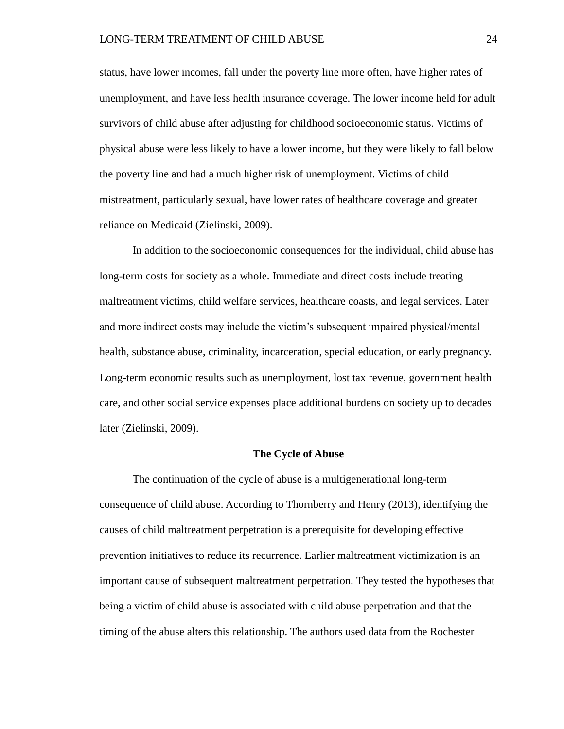status, have lower incomes, fall under the poverty line more often, have higher rates of unemployment, and have less health insurance coverage. The lower income held for adult survivors of child abuse after adjusting for childhood socioeconomic status. Victims of physical abuse were less likely to have a lower income, but they were likely to fall below the poverty line and had a much higher risk of unemployment. Victims of child mistreatment, particularly sexual, have lower rates of healthcare coverage and greater reliance on Medicaid (Zielinski, 2009).

In addition to the socioeconomic consequences for the individual, child abuse has long-term costs for society as a whole. Immediate and direct costs include treating maltreatment victims, child welfare services, healthcare coasts, and legal services. Later and more indirect costs may include the victim's subsequent impaired physical/mental health, substance abuse, criminality, incarceration, special education, or early pregnancy. Long-term economic results such as unemployment, lost tax revenue, government health care, and other social service expenses place additional burdens on society up to decades later (Zielinski, 2009).

#### **The Cycle of Abuse**

The continuation of the cycle of abuse is a multigenerational long-term consequence of child abuse. According to Thornberry and Henry (2013), identifying the causes of child maltreatment perpetration is a prerequisite for developing effective prevention initiatives to reduce its recurrence. Earlier maltreatment victimization is an important cause of subsequent maltreatment perpetration. They tested the hypotheses that being a victim of child abuse is associated with child abuse perpetration and that the timing of the abuse alters this relationship. The authors used data from the Rochester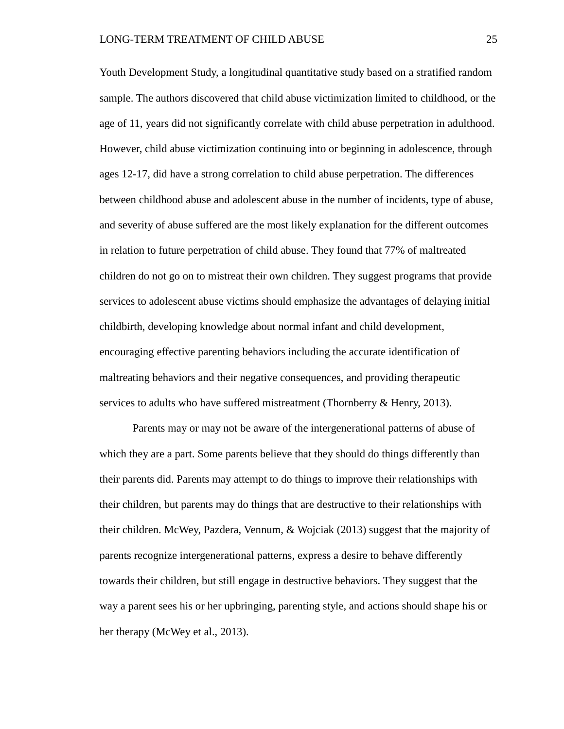Youth Development Study, a longitudinal quantitative study based on a stratified random sample. The authors discovered that child abuse victimization limited to childhood, or the age of 11, years did not significantly correlate with child abuse perpetration in adulthood. However, child abuse victimization continuing into or beginning in adolescence, through ages 12-17, did have a strong correlation to child abuse perpetration. The differences between childhood abuse and adolescent abuse in the number of incidents, type of abuse, and severity of abuse suffered are the most likely explanation for the different outcomes in relation to future perpetration of child abuse. They found that 77% of maltreated children do not go on to mistreat their own children. They suggest programs that provide services to adolescent abuse victims should emphasize the advantages of delaying initial childbirth, developing knowledge about normal infant and child development, encouraging effective parenting behaviors including the accurate identification of maltreating behaviors and their negative consequences, and providing therapeutic services to adults who have suffered mistreatment (Thornberry & Henry, 2013).

Parents may or may not be aware of the intergenerational patterns of abuse of which they are a part. Some parents believe that they should do things differently than their parents did. Parents may attempt to do things to improve their relationships with their children, but parents may do things that are destructive to their relationships with their children. McWey, Pazdera, Vennum, & Wojciak (2013) suggest that the majority of parents recognize intergenerational patterns, express a desire to behave differently towards their children, but still engage in destructive behaviors. They suggest that the way a parent sees his or her upbringing, parenting style, and actions should shape his or her therapy (McWey et al., 2013).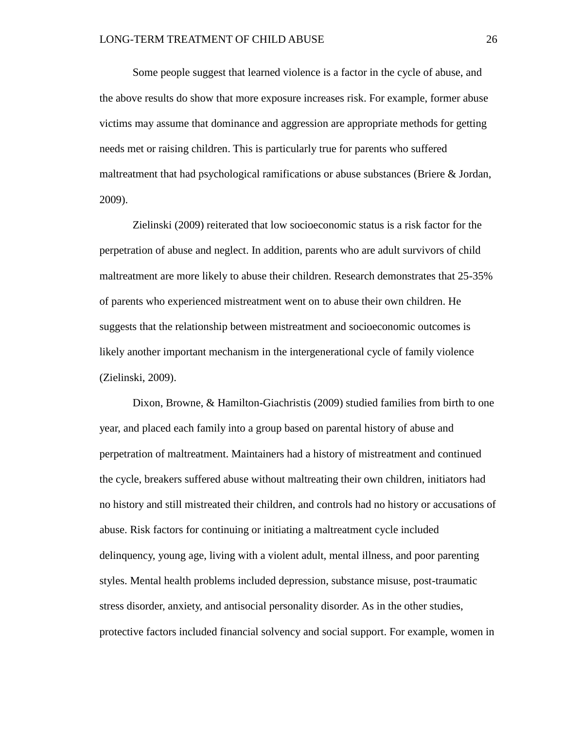Some people suggest that learned violence is a factor in the cycle of abuse, and the above results do show that more exposure increases risk. For example, former abuse victims may assume that dominance and aggression are appropriate methods for getting needs met or raising children. This is particularly true for parents who suffered maltreatment that had psychological ramifications or abuse substances (Briere & Jordan, 2009).

Zielinski (2009) reiterated that low socioeconomic status is a risk factor for the perpetration of abuse and neglect. In addition, parents who are adult survivors of child maltreatment are more likely to abuse their children. Research demonstrates that 25-35% of parents who experienced mistreatment went on to abuse their own children. He suggests that the relationship between mistreatment and socioeconomic outcomes is likely another important mechanism in the intergenerational cycle of family violence (Zielinski, 2009).

Dixon, Browne, & Hamilton-Giachristis (2009) studied families from birth to one year, and placed each family into a group based on parental history of abuse and perpetration of maltreatment. Maintainers had a history of mistreatment and continued the cycle, breakers suffered abuse without maltreating their own children, initiators had no history and still mistreated their children, and controls had no history or accusations of abuse. Risk factors for continuing or initiating a maltreatment cycle included delinquency, young age, living with a violent adult, mental illness, and poor parenting styles. Mental health problems included depression, substance misuse, post-traumatic stress disorder, anxiety, and antisocial personality disorder. As in the other studies, protective factors included financial solvency and social support. For example, women in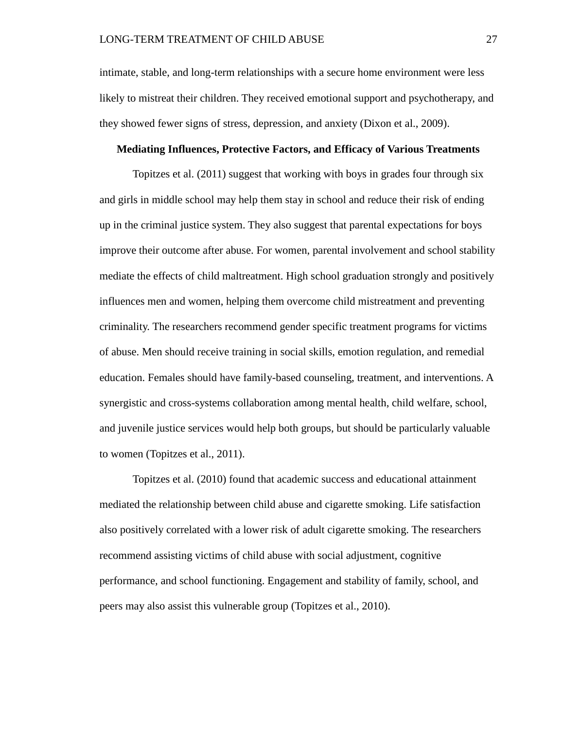intimate, stable, and long-term relationships with a secure home environment were less likely to mistreat their children. They received emotional support and psychotherapy, and they showed fewer signs of stress, depression, and anxiety (Dixon et al., 2009).

# **Mediating Influences, Protective Factors, and Efficacy of Various Treatments**

Topitzes et al. (2011) suggest that working with boys in grades four through six and girls in middle school may help them stay in school and reduce their risk of ending up in the criminal justice system. They also suggest that parental expectations for boys improve their outcome after abuse. For women, parental involvement and school stability mediate the effects of child maltreatment. High school graduation strongly and positively influences men and women, helping them overcome child mistreatment and preventing criminality. The researchers recommend gender specific treatment programs for victims of abuse. Men should receive training in social skills, emotion regulation, and remedial education. Females should have family-based counseling, treatment, and interventions. A synergistic and cross-systems collaboration among mental health, child welfare, school, and juvenile justice services would help both groups, but should be particularly valuable to women (Topitzes et al., 2011).

Topitzes et al. (2010) found that academic success and educational attainment mediated the relationship between child abuse and cigarette smoking. Life satisfaction also positively correlated with a lower risk of adult cigarette smoking. The researchers recommend assisting victims of child abuse with social adjustment, cognitive performance, and school functioning. Engagement and stability of family, school, and peers may also assist this vulnerable group (Topitzes et al., 2010).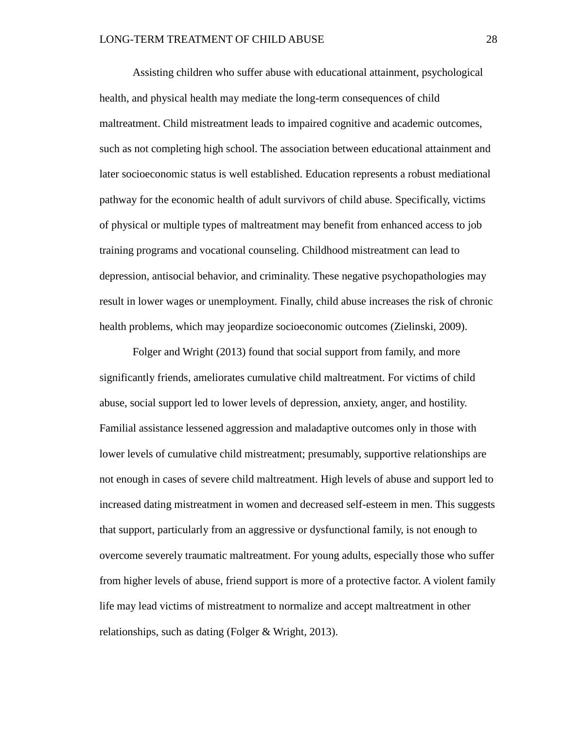Assisting children who suffer abuse with educational attainment, psychological health, and physical health may mediate the long-term consequences of child maltreatment. Child mistreatment leads to impaired cognitive and academic outcomes, such as not completing high school. The association between educational attainment and later socioeconomic status is well established. Education represents a robust mediational pathway for the economic health of adult survivors of child abuse. Specifically, victims of physical or multiple types of maltreatment may benefit from enhanced access to job training programs and vocational counseling. Childhood mistreatment can lead to depression, antisocial behavior, and criminality. These negative psychopathologies may result in lower wages or unemployment. Finally, child abuse increases the risk of chronic health problems, which may jeopardize socioeconomic outcomes (Zielinski, 2009).

Folger and Wright (2013) found that social support from family, and more significantly friends, ameliorates cumulative child maltreatment. For victims of child abuse, social support led to lower levels of depression, anxiety, anger, and hostility. Familial assistance lessened aggression and maladaptive outcomes only in those with lower levels of cumulative child mistreatment; presumably, supportive relationships are not enough in cases of severe child maltreatment. High levels of abuse and support led to increased dating mistreatment in women and decreased self-esteem in men. This suggests that support, particularly from an aggressive or dysfunctional family, is not enough to overcome severely traumatic maltreatment. For young adults, especially those who suffer from higher levels of abuse, friend support is more of a protective factor. A violent family life may lead victims of mistreatment to normalize and accept maltreatment in other relationships, such as dating (Folger & Wright, 2013).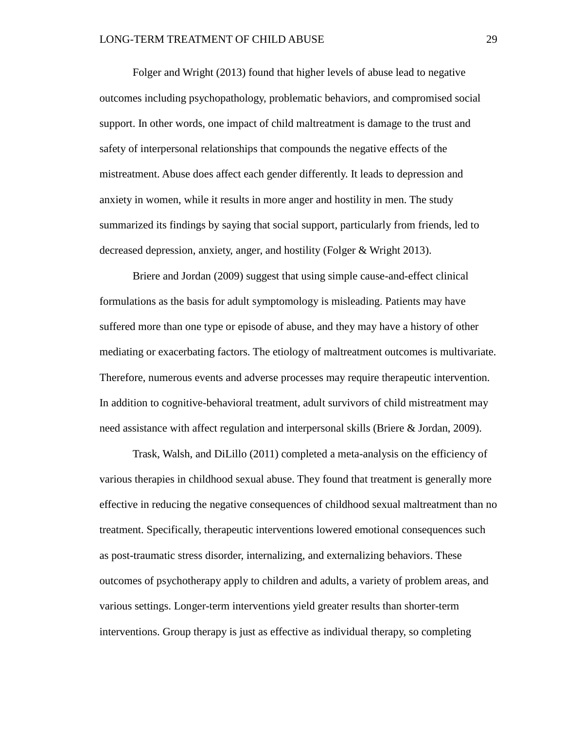Folger and Wright (2013) found that higher levels of abuse lead to negative outcomes including psychopathology, problematic behaviors, and compromised social support. In other words, one impact of child maltreatment is damage to the trust and safety of interpersonal relationships that compounds the negative effects of the mistreatment. Abuse does affect each gender differently. It leads to depression and anxiety in women, while it results in more anger and hostility in men. The study summarized its findings by saying that social support, particularly from friends, led to decreased depression, anxiety, anger, and hostility (Folger & Wright 2013).

Briere and Jordan (2009) suggest that using simple cause-and-effect clinical formulations as the basis for adult symptomology is misleading. Patients may have suffered more than one type or episode of abuse, and they may have a history of other mediating or exacerbating factors. The etiology of maltreatment outcomes is multivariate. Therefore, numerous events and adverse processes may require therapeutic intervention. In addition to cognitive-behavioral treatment, adult survivors of child mistreatment may need assistance with affect regulation and interpersonal skills (Briere & Jordan, 2009).

Trask, Walsh, and DiLillo (2011) completed a meta-analysis on the efficiency of various therapies in childhood sexual abuse. They found that treatment is generally more effective in reducing the negative consequences of childhood sexual maltreatment than no treatment. Specifically, therapeutic interventions lowered emotional consequences such as post-traumatic stress disorder, internalizing, and externalizing behaviors. These outcomes of psychotherapy apply to children and adults, a variety of problem areas, and various settings. Longer-term interventions yield greater results than shorter-term interventions. Group therapy is just as effective as individual therapy, so completing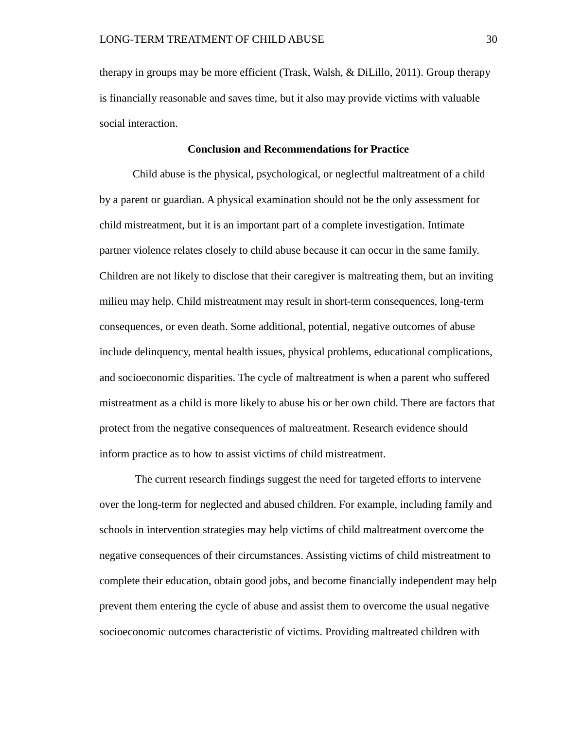therapy in groups may be more efficient (Trask, Walsh, & DiLillo, 2011). Group therapy is financially reasonable and saves time, but it also may provide victims with valuable social interaction.

## **Conclusion and Recommendations for Practice**

Child abuse is the physical, psychological, or neglectful maltreatment of a child by a parent or guardian. A physical examination should not be the only assessment for child mistreatment, but it is an important part of a complete investigation. Intimate partner violence relates closely to child abuse because it can occur in the same family. Children are not likely to disclose that their caregiver is maltreating them, but an inviting milieu may help. Child mistreatment may result in short-term consequences, long-term consequences, or even death. Some additional, potential, negative outcomes of abuse include delinquency, mental health issues, physical problems, educational complications, and socioeconomic disparities. The cycle of maltreatment is when a parent who suffered mistreatment as a child is more likely to abuse his or her own child. There are factors that protect from the negative consequences of maltreatment. Research evidence should inform practice as to how to assist victims of child mistreatment.

The current research findings suggest the need for targeted efforts to intervene over the long-term for neglected and abused children. For example, including family and schools in intervention strategies may help victims of child maltreatment overcome the negative consequences of their circumstances. Assisting victims of child mistreatment to complete their education, obtain good jobs, and become financially independent may help prevent them entering the cycle of abuse and assist them to overcome the usual negative socioeconomic outcomes characteristic of victims. Providing maltreated children with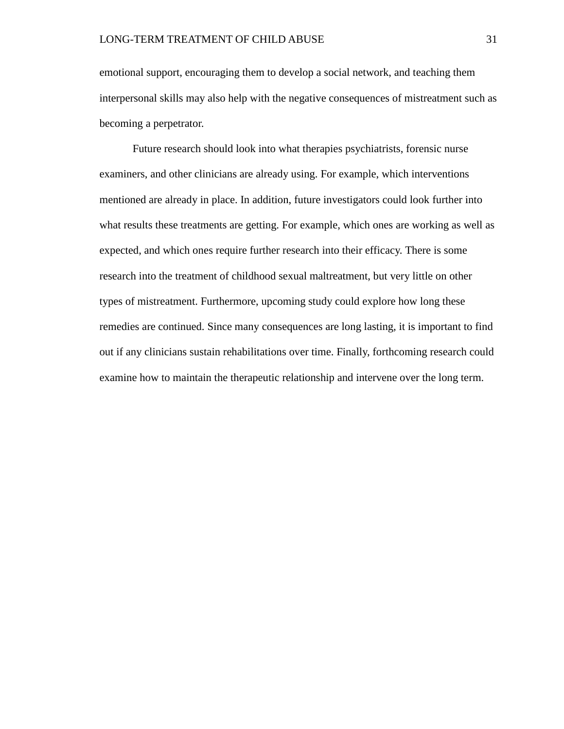emotional support, encouraging them to develop a social network, and teaching them interpersonal skills may also help with the negative consequences of mistreatment such as becoming a perpetrator.

Future research should look into what therapies psychiatrists, forensic nurse examiners, and other clinicians are already using. For example, which interventions mentioned are already in place. In addition, future investigators could look further into what results these treatments are getting. For example, which ones are working as well as expected, and which ones require further research into their efficacy. There is some research into the treatment of childhood sexual maltreatment, but very little on other types of mistreatment. Furthermore, upcoming study could explore how long these remedies are continued. Since many consequences are long lasting, it is important to find out if any clinicians sustain rehabilitations over time. Finally, forthcoming research could examine how to maintain the therapeutic relationship and intervene over the long term.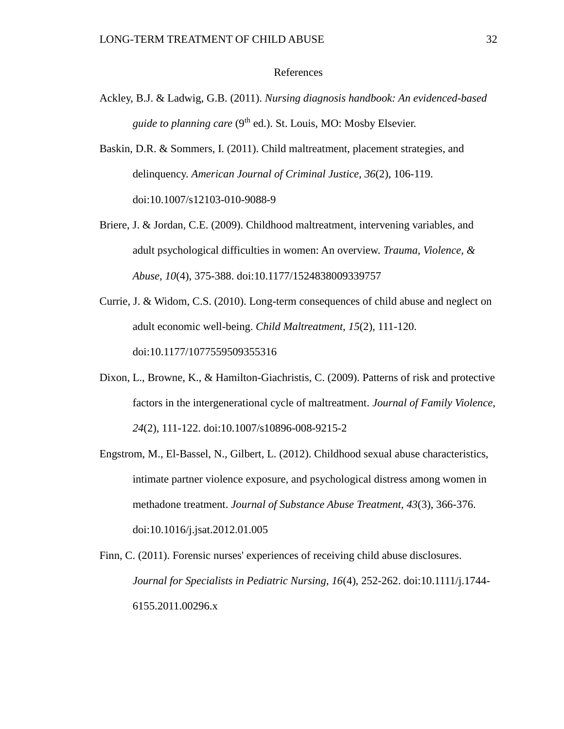### References

- Ackley, B.J. & Ladwig, G.B. (2011). *Nursing diagnosis handbook: An evidenced-based guide to planning care* (9<sup>th</sup> ed.). St. Louis, MO: Mosby Elsevier.
- Baskin, D.R. & Sommers, I. (2011). Child maltreatment, placement strategies, and delinquency. *American Journal of Criminal Justice, 36*(2), 106-119. doi:10.1007/s12103-010-9088-9
- Briere, J. & Jordan, C.E. (2009). Childhood maltreatment, intervening variables, and adult psychological difficulties in women: An overview. *Trauma, Violence, & Abuse, 10*(4), 375-388. doi:10.1177/1524838009339757
- Currie, J. & Widom, C.S. (2010). Long-term consequences of child abuse and neglect on adult economic well-being. *Child Maltreatment, 15*(2), 111-120. doi:10.1177/1077559509355316
- Dixon, L., Browne, K., & Hamilton-Giachristis, C. (2009). Patterns of risk and protective factors in the intergenerational cycle of maltreatment. *Journal of Family Violence, 24*(2), 111-122. doi:10.1007/s10896-008-9215-2
- Engstrom, M., El-Bassel, N., Gilbert, L. (2012). Childhood sexual abuse characteristics, intimate partner violence exposure, and psychological distress among women in methadone treatment. *Journal of Substance Abuse Treatment, 43*(3), 366-376. doi:10.1016/j.jsat.2012.01.005
- Finn, C. (2011). Forensic nurses' experiences of receiving child abuse disclosures. *Journal for Specialists in Pediatric Nursing, 16*(4), 252-262. doi:10.1111/j.1744- 6155.2011.00296.x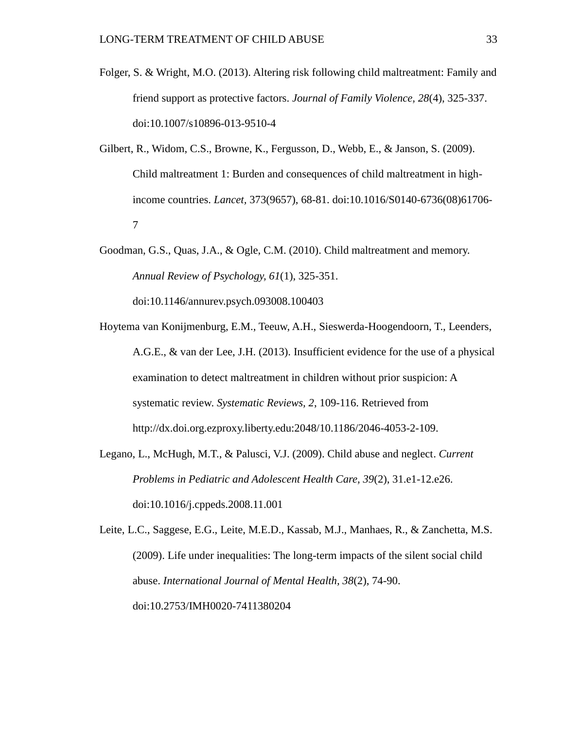- Folger, S. & Wright, M.O. (2013). Altering risk following child maltreatment: Family and friend support as protective factors. *Journal of Family Violence, 28*(4), 325-337. doi:10.1007/s10896-013-9510-4
- Gilbert, R., Widom, C.S., Browne, K., Fergusson, D., Webb, E., & Janson, S. (2009). Child maltreatment 1: Burden and consequences of child maltreatment in highincome countries. *Lancet,* 373(9657), 68-81. doi:10.1016/S0140-6736(08)61706- 7
- Goodman, G.S., Quas, J.A., & Ogle, C.M. (2010). Child maltreatment and memory. *Annual Review of Psychology, 61*(1), 325-351.

doi:10.1146/annurev.psych.093008.100403

- Hoytema van Konijmenburg, E.M., Teeuw, A.H., Sieswerda-Hoogendoorn, T., Leenders, A.G.E., & van der Lee, J.H. (2013). Insufficient evidence for the use of a physical examination to detect maltreatment in children without prior suspicion: A systematic review. *Systematic Reviews, 2*, 109-116. Retrieved from http://dx.doi.org.ezproxy.liberty.edu:2048/10.1186/2046-4053-2-109.
- Legano, L., McHugh, M.T., & Palusci, V.J. (2009). Child abuse and neglect. *Current Problems in Pediatric and Adolescent Health Care, 39*(2), 31.e1-12.e26. doi:10.1016/j.cppeds.2008.11.001

Leite, L.C., Saggese, E.G., Leite, M.E.D., Kassab, M.J., Manhaes, R., & Zanchetta, M.S. (2009). Life under inequalities: The long-term impacts of the silent social child abuse. *International Journal of Mental Health, 38*(2), 74-90. doi:10.2753/IMH0020-7411380204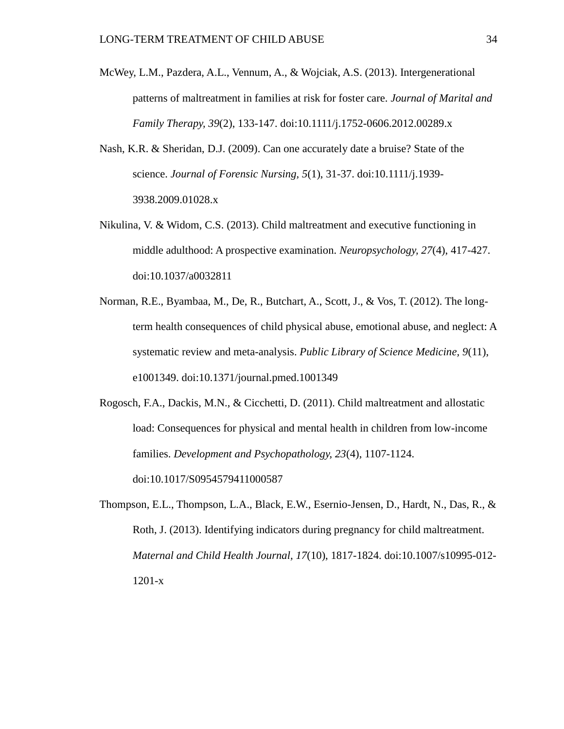- McWey, L.M., Pazdera, A.L., Vennum, A., & Wojciak, A.S. (2013). Intergenerational patterns of maltreatment in families at risk for foster care. *Journal of Marital and Family Therapy, 39*(2), 133-147. doi:10.1111/j.1752-0606.2012.00289.x
- Nash, K.R. & Sheridan, D.J. (2009). Can one accurately date a bruise? State of the science. *Journal of Forensic Nursing, 5*(1), 31-37. doi:10.1111/j.1939- 3938.2009.01028.x
- Nikulina, V. & Widom, C.S. (2013). Child maltreatment and executive functioning in middle adulthood: A prospective examination. *Neuropsychology, 27*(4), 417-427. doi:10.1037/a0032811
- Norman, R.E., Byambaa, M., De, R., Butchart, A., Scott, J., & Vos, T. (2012). The longterm health consequences of child physical abuse, emotional abuse, and neglect: A systematic review and meta-analysis. *Public Library of Science Medicine, 9*(11), e1001349. doi:10.1371/journal.pmed.1001349
- Rogosch, F.A., Dackis, M.N., & Cicchetti, D. (2011). Child maltreatment and allostatic load: Consequences for physical and mental health in children from low-income families. *Development and Psychopathology, 23*(4), 1107-1124. doi:10.1017/S0954579411000587
- Thompson, E.L., Thompson, L.A., Black, E.W., Esernio-Jensen, D., Hardt, N., Das, R., & Roth, J. (2013). Identifying indicators during pregnancy for child maltreatment. *Maternal and Child Health Journal, 17*(10), 1817-1824. doi:10.1007/s10995-012- 1201-x